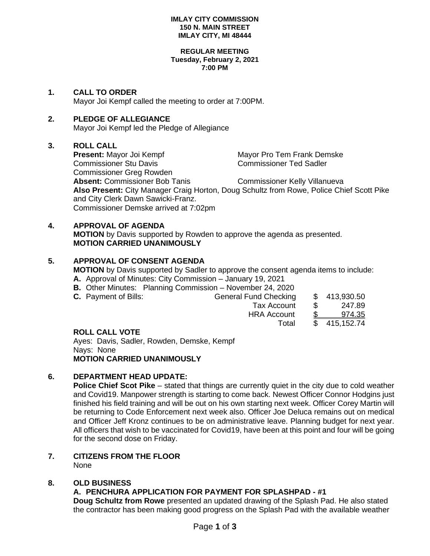#### **IMLAY CITY COMMISSION 150 N. MAIN STREET IMLAY CITY, MI 48444**

#### **REGULAR MEETING Tuesday, February 2, 2021 7:00 PM**

#### **1. CALL TO ORDER**

Mayor Joi Kempf called the meeting to order at 7:00PM.

## **2. PLEDGE OF ALLEGIANCE**

Mayor Joi Kempf led the Pledge of Allegiance

## **3. ROLL CALL**

**Present:** Mayor Joi Kempf Mayor Pro Tem Frank Demske Commissioner Stu Davis Commissioner Ted Sadler Commissioner Greg Rowden **Absent:** Commissioner Bob Tanis Commissioner Kelly Villanueva **Also Present:** City Manager Craig Horton, Doug Schultz from Rowe, Police Chief Scott Pike and City Clerk Dawn Sawicki-Franz.

Commissioner Demske arrived at 7:02pm

# **4. APPROVAL OF AGENDA**

**MOTION** by Davis supported by Rowden to approve the agenda as presented. **MOTION CARRIED UNANIMOUSLY**

## **5. APPROVAL OF CONSENT AGENDA**

**MOTION** by Davis supported by Sadler to approve the consent agenda items to include:

- **A.** Approval of Minutes: City Commission January 19, 2021
- **B.** Other Minutes: Planning Commission November 24, 2020

| <b>C.</b> Payment of Bills: | <b>General Fund Checking</b> |               | \$413,930.50  |
|-----------------------------|------------------------------|---------------|---------------|
|                             | Tax Account                  | $\mathcal{S}$ | 247.89        |
|                             | <b>HRA Account</b>           |               | <u>974.35</u> |
|                             | Total                        |               | \$415,152.74  |
| <b>DALL AALL VATE</b>       |                              |               |               |

#### **ROLL CALL VOTE**

Ayes: Davis, Sadler, Rowden, Demske, Kempf Nays: None **MOTION CARRIED UNANIMOUSLY**

# **6. DEPARTMENT HEAD UPDATE:**

**Police Chief Scot Pike** – stated that things are currently quiet in the city due to cold weather and Covid19. Manpower strength is starting to come back. Newest Officer Connor Hodgins just finished his field training and will be out on his own starting next week. Officer Corey Martin will be returning to Code Enforcement next week also. Officer Joe Deluca remains out on medical and Officer Jeff Kronz continues to be on administrative leave. Planning budget for next year. All officers that wish to be vaccinated for Covid19, have been at this point and four will be going for the second dose on Friday.

#### **7. CITIZENS FROM THE FLOOR** None

# **8. OLD BUSINESS**

# **A. PENCHURA APPLICATION FOR PAYMENT FOR SPLASHPAD - #1**

**Doug Schultz from Rowe** presented an updated drawing of the Splash Pad. He also stated the contractor has been making good progress on the Splash Pad with the available weather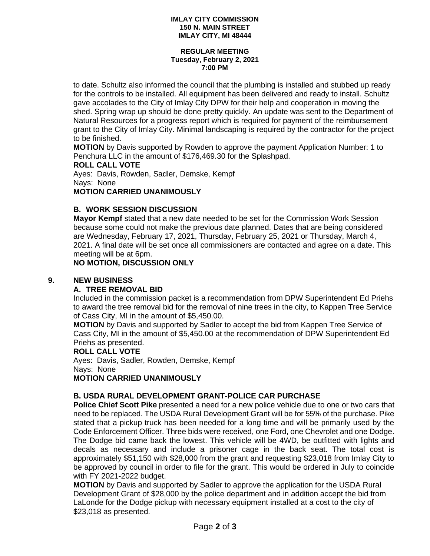#### **IMLAY CITY COMMISSION 150 N. MAIN STREET IMLAY CITY, MI 48444**

#### **REGULAR MEETING Tuesday, February 2, 2021 7:00 PM**

to date. Schultz also informed the council that the plumbing is installed and stubbed up ready for the controls to be installed. All equipment has been delivered and ready to install. Schultz gave accolades to the City of Imlay City DPW for their help and cooperation in moving the shed. Spring wrap up should be done pretty quickly. An update was sent to the Department of Natural Resources for a progress report which is required for payment of the reimbursement grant to the City of Imlay City. Minimal landscaping is required by the contractor for the project to be finished.

**MOTION** by Davis supported by Rowden to approve the payment Application Number: 1 to Penchura LLC in the amount of \$176,469.30 for the Splashpad.

#### **ROLL CALL VOTE**

Ayes: Davis, Rowden, Sadler, Demske, Kempf Nays: None

# **MOTION CARRIED UNANIMOUSLY**

## **B. WORK SESSION DISCUSSION**

**Mayor Kempf** stated that a new date needed to be set for the Commission Work Session because some could not make the previous date planned. Dates that are being considered are Wednesday, February 17, 2021, Thursday, February 25, 2021 or Thursday, March 4, 2021. A final date will be set once all commissioners are contacted and agree on a date. This meeting will be at 6pm.

# **NO MOTION, DISCUSSION ONLY**

## **9. NEW BUSINESS**

# **A. TREE REMOVAL BID**

Included in the commission packet is a recommendation from DPW Superintendent Ed Priehs to award the tree removal bid for the removal of nine trees in the city, to Kappen Tree Service of Cass City, MI in the amount of \$5,450.00.

**MOTION** by Davis and supported by Sadler to accept the bid from Kappen Tree Service of Cass City, MI in the amount of \$5,450.00 at the recommendation of DPW Superintendent Ed Priehs as presented.

## **ROLL CALL VOTE**

Ayes: Davis, Sadler, Rowden, Demske, Kempf Nays: None **MOTION CARRIED UNANIMOUSLY**

# **B. USDA RURAL DEVELOPMENT GRANT-POLICE CAR PURCHASE**

**Police Chief Scott Pike** presented a need for a new police vehicle due to one or two cars that need to be replaced. The USDA Rural Development Grant will be for 55% of the purchase. Pike stated that a pickup truck has been needed for a long time and will be primarily used by the Code Enforcement Officer. Three bids were received, one Ford, one Chevrolet and one Dodge. The Dodge bid came back the lowest. This vehicle will be 4WD, be outfitted with lights and decals as necessary and include a prisoner cage in the back seat. The total cost is approximately \$51,150 with \$28,000 from the grant and requesting \$23,018 from Imlay City to be approved by council in order to file for the grant. This would be ordered in July to coincide with FY 2021-2022 budget.

**MOTION** by Davis and supported by Sadler to approve the application for the USDA Rural Development Grant of \$28,000 by the police department and in addition accept the bid from LaLonde for the Dodge pickup with necessary equipment installed at a cost to the city of \$23,018 as presented.